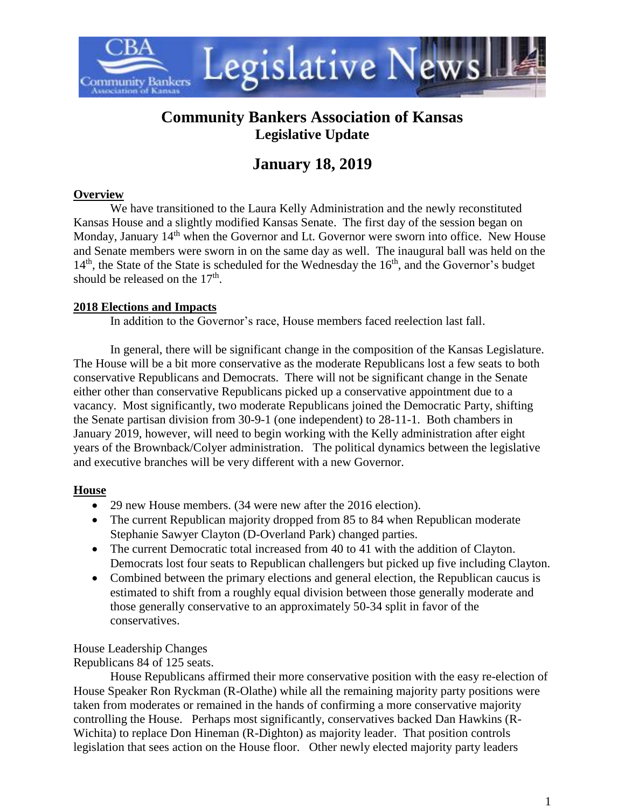

## **Community Bankers Association of Kansas Legislative Update**

# **January 18, 2019**

### **Overview**

We have transitioned to the Laura Kelly Administration and the newly reconstituted Kansas House and a slightly modified Kansas Senate. The first day of the session began on Monday, January 14<sup>th</sup> when the Governor and Lt. Governor were sworn into office. New House and Senate members were sworn in on the same day as well. The inaugural ball was held on the  $14<sup>th</sup>$ , the State of the State is scheduled for the Wednesday the  $16<sup>th</sup>$ , and the Governor's budget should be released on the  $17<sup>th</sup>$ .

### **2018 Elections and Impacts**

In addition to the Governor's race, House members faced reelection last fall.

In general, there will be significant change in the composition of the Kansas Legislature. The House will be a bit more conservative as the moderate Republicans lost a few seats to both conservative Republicans and Democrats. There will not be significant change in the Senate either other than conservative Republicans picked up a conservative appointment due to a vacancy. Most significantly, two moderate Republicans joined the Democratic Party, shifting the Senate partisan division from 30-9-1 (one independent) to 28-11-1. Both chambers in January 2019, however, will need to begin working with the Kelly administration after eight years of the Brownback/Colyer administration. The political dynamics between the legislative and executive branches will be very different with a new Governor.

### **House**

- 29 new House members. (34 were new after the 2016 election).
- The current Republican majority dropped from 85 to 84 when Republican moderate Stephanie Sawyer Clayton (D-Overland Park) changed parties.
- The current Democratic total increased from 40 to 41 with the addition of Clayton. Democrats lost four seats to Republican challengers but picked up five including Clayton.
- Combined between the primary elections and general election, the Republican caucus is estimated to shift from a roughly equal division between those generally moderate and those generally conservative to an approximately 50-34 split in favor of the conservatives.

House Leadership Changes

Republicans 84 of 125 seats.

House Republicans affirmed their more conservative position with the easy re-election of House Speaker Ron Ryckman (R-Olathe) while all the remaining majority party positions were taken from moderates or remained in the hands of confirming a more conservative majority controlling the House. Perhaps most significantly, conservatives backed Dan Hawkins (R-Wichita) to replace Don Hineman (R-Dighton) as majority leader. That position controls legislation that sees action on the House floor. Other newly elected majority party leaders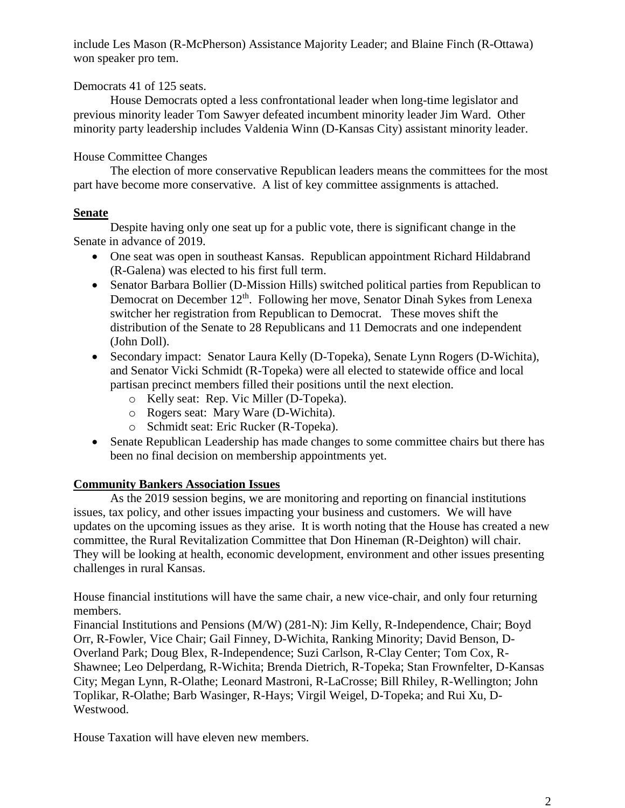include Les Mason (R-McPherson) Assistance Majority Leader; and Blaine Finch (R-Ottawa) won speaker pro tem.

#### Democrats 41 of 125 seats.

House Democrats opted a less confrontational leader when long-time legislator and previous minority leader Tom Sawyer defeated incumbent minority leader Jim Ward. Other minority party leadership includes Valdenia Winn (D-Kansas City) assistant minority leader.

### House Committee Changes

The election of more conservative Republican leaders means the committees for the most part have become more conservative. A list of key committee assignments is attached.

### **Senate**

Despite having only one seat up for a public vote, there is significant change in the Senate in advance of 2019.

- One seat was open in southeast Kansas. Republican appointment Richard Hildabrand (R-Galena) was elected to his first full term.
- Senator Barbara Bollier (D-Mission Hills) switched political parties from Republican to Democrat on December 12<sup>th</sup>. Following her move, Senator Dinah Sykes from Lenexa switcher her registration from Republican to Democrat. These moves shift the distribution of the Senate to 28 Republicans and 11 Democrats and one independent (John Doll).
- Secondary impact: Senator Laura Kelly (D-Topeka), Senate Lynn Rogers (D-Wichita), and Senator Vicki Schmidt (R-Topeka) were all elected to statewide office and local partisan precinct members filled their positions until the next election.
	- o Kelly seat: Rep. Vic Miller (D-Topeka).
	- o Rogers seat: Mary Ware (D-Wichita).
	- o Schmidt seat: Eric Rucker (R-Topeka).
- Senate Republican Leadership has made changes to some committee chairs but there has been no final decision on membership appointments yet.

### **Community Bankers Association Issues**

As the 2019 session begins, we are monitoring and reporting on financial institutions issues, tax policy, and other issues impacting your business and customers. We will have updates on the upcoming issues as they arise. It is worth noting that the House has created a new committee, the Rural Revitalization Committee that Don Hineman (R-Deighton) will chair. They will be looking at health, economic development, environment and other issues presenting challenges in rural Kansas.

House financial institutions will have the same chair, a new vice-chair, and only four returning members.

Financial Institutions and Pensions (M/W) (281-N): Jim Kelly, R-Independence, Chair; Boyd Orr, R-Fowler, Vice Chair; Gail Finney, D-Wichita, Ranking Minority; David Benson, D-Overland Park; Doug Blex, R-Independence; Suzi Carlson, R-Clay Center; Tom Cox, R-Shawnee; Leo Delperdang, R-Wichita; Brenda Dietrich, R-Topeka; Stan Frownfelter, D-Kansas City; Megan Lynn, R-Olathe; Leonard Mastroni, R-LaCrosse; Bill Rhiley, R-Wellington; John Toplikar, R-Olathe; Barb Wasinger, R-Hays; Virgil Weigel, D-Topeka; and Rui Xu, D-Westwood.

House Taxation will have eleven new members.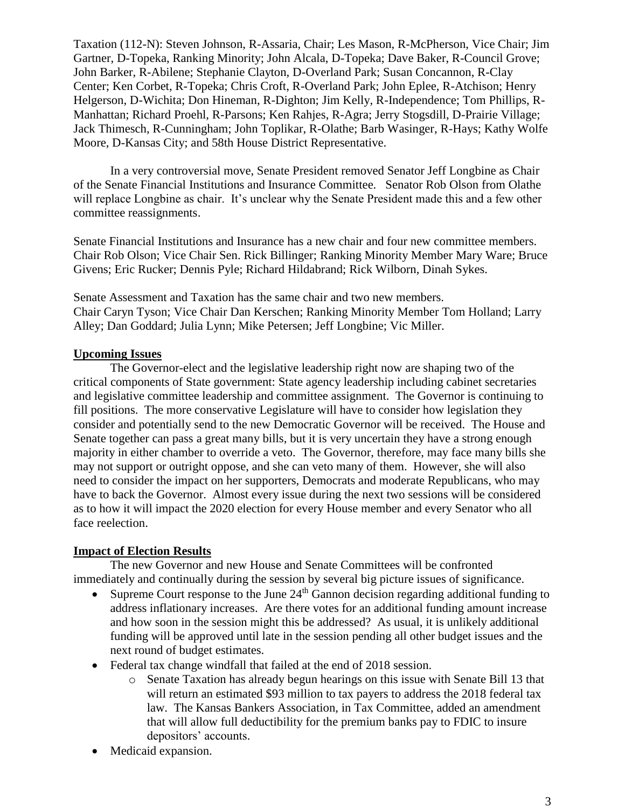Taxation (112-N): Steven Johnson, R-Assaria, Chair; Les Mason, R-McPherson, Vice Chair; Jim Gartner, D-Topeka, Ranking Minority; John Alcala, D-Topeka; Dave Baker, R-Council Grove; John Barker, R-Abilene; Stephanie Clayton, D-Overland Park; Susan Concannon, R-Clay Center; Ken Corbet, R-Topeka; Chris Croft, R-Overland Park; John Eplee, R-Atchison; Henry Helgerson, D-Wichita; Don Hineman, R-Dighton; Jim Kelly, R-Independence; Tom Phillips, R-Manhattan; Richard Proehl, R-Parsons; Ken Rahjes, R-Agra; Jerry Stogsdill, D-Prairie Village; Jack Thimesch, R-Cunningham; John Toplikar, R-Olathe; Barb Wasinger, R-Hays; Kathy Wolfe Moore, D-Kansas City; and 58th House District Representative.

In a very controversial move, Senate President removed Senator Jeff Longbine as Chair of the Senate Financial Institutions and Insurance Committee. Senator Rob Olson from Olathe will replace Longbine as chair. It's unclear why the Senate President made this and a few other committee reassignments.

Senate Financial Institutions and Insurance has a new chair and four new committee members. Chair Rob Olson; Vice Chair Sen. Rick Billinger; Ranking Minority Member Mary Ware; Bruce Givens; Eric Rucker; Dennis Pyle; Richard Hildabrand; Rick Wilborn, Dinah Sykes.

Senate Assessment and Taxation has the same chair and two new members. Chair Caryn Tyson; Vice Chair Dan Kerschen; Ranking Minority Member Tom Holland; Larry Alley; Dan Goddard; Julia Lynn; Mike Petersen; Jeff Longbine; Vic Miller.

#### **Upcoming Issues**

The Governor-elect and the legislative leadership right now are shaping two of the critical components of State government: State agency leadership including cabinet secretaries and legislative committee leadership and committee assignment. The Governor is continuing to fill positions. The more conservative Legislature will have to consider how legislation they consider and potentially send to the new Democratic Governor will be received. The House and Senate together can pass a great many bills, but it is very uncertain they have a strong enough majority in either chamber to override a veto. The Governor, therefore, may face many bills she may not support or outright oppose, and she can veto many of them. However, she will also need to consider the impact on her supporters, Democrats and moderate Republicans, who may have to back the Governor. Almost every issue during the next two sessions will be considered as to how it will impact the 2020 election for every House member and every Senator who all face reelection.

### **Impact of Election Results**

The new Governor and new House and Senate Committees will be confronted immediately and continually during the session by several big picture issues of significance.

- Supreme Court response to the June 24<sup>th</sup> Gannon decision regarding additional funding to address inflationary increases. Are there votes for an additional funding amount increase and how soon in the session might this be addressed? As usual, it is unlikely additional funding will be approved until late in the session pending all other budget issues and the next round of budget estimates.
- Federal tax change windfall that failed at the end of 2018 session.
	- o Senate Taxation has already begun hearings on this issue with Senate Bill 13 that will return an estimated \$93 million to tax payers to address the 2018 federal tax law. The Kansas Bankers Association, in Tax Committee, added an amendment that will allow full deductibility for the premium banks pay to FDIC to insure depositors' accounts.
- Medicaid expansion.